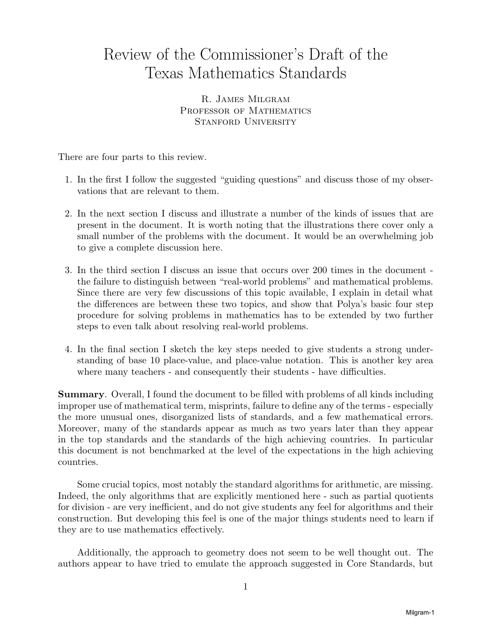# Review of the Commissioner's Draft of the Texas Mathematics Standards

R. James Milgram PROFESSOR OF MATHEMATICS STANFORD UNIVERSITY

There are four parts to this review.

- 1. In the first I follow the suggested "guiding questions" and discuss those of my observations that are relevant to them.
- 2. In the next section I discuss and illustrate a number of the kinds of issues that are present in the document. It is worth noting that the illustrations there cover only a small number of the problems with the document. It would be an overwhelming job to give a complete discussion here.
- 3. In the third section I discuss an issue that occurs over 200 times in the document he failure to distinguish between "real-world problems" and mathematical problems. t Since there are very few discussions of this topic available, I explain in detail what the differences are between these two topics, and show that Polya's basic four step procedure for solving problems in mathematics has to be extended by two further steps to even talk about resolving real-world problems.
- 4. In the final section I sketch the key steps needed to give students a strong understanding of base 10 place-value, and place-value notation. This is another key area where many teachers - and consequently their students - have difficulties.

**Summary**. Overall, I found the document to be filled with problems of all kinds including improper use of mathematical term, misprints, failure to define any of the terms - especially the more unusual ones, disorganized lists of standards, and a few mathematical errors. Moreover, many of the standards appear as much as two years later than they appear in the top standards and the standards of the high achieving countries. In particular this document is not benchmarked at the level of the expectations in the high achieving countries.

Some crucial topics, most notably the standard algorithms for arithmetic, are missing. Indeed, the only algorithms that are explicitly mentioned here - such as partial quotients for division - are very inefficient, and do not give students any feel for algorithms and their construction. But developing this feel is one of the major things students need to learn if they are to use mathematics effectively.

Additionally, the approach to geometry does not seem to be well thought out. The authors appear to have tried to emulate the approach suggested in Core Standards, but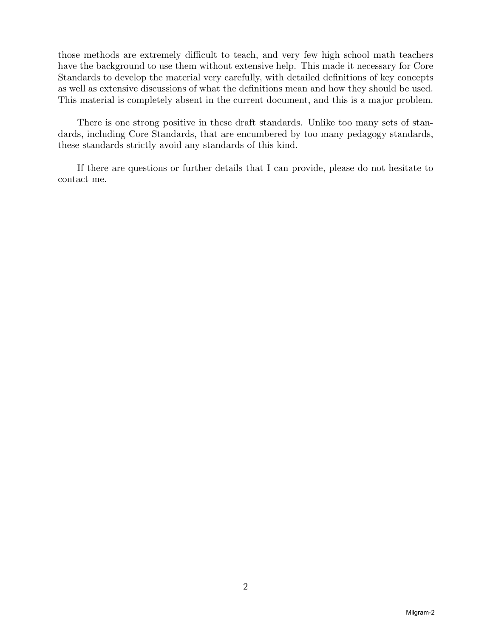those methods are extremely difficult to teach, and very few high school math teachers have the background to use them without extensive help. This made it necessary for Core Standards to develop the material very carefully, with detailed definitions of key concepts as well as extensive discussions of what the definitions mean and how they should be used. This material is completely absent in the current document, and this is a major problem.

There is one strong positive in these draft standards. Unlike too many sets of standards, including Core Standards, that are encumbered by too many pedagogy standards, these standards strictly avoid any standards of this kind.

If there are questions or further details that I can provide, please do not hesitate to contact me.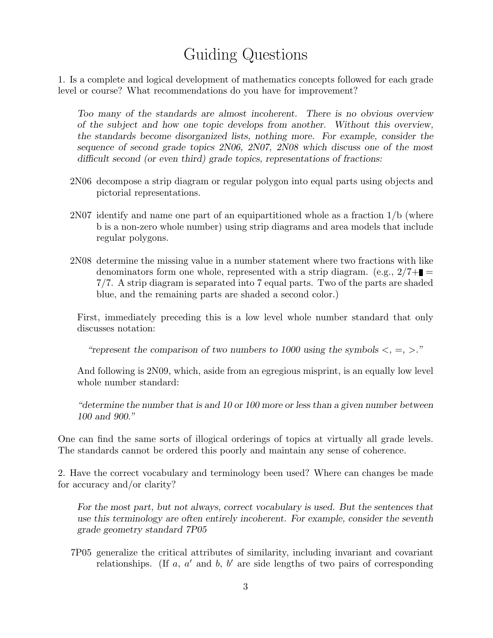## Guiding Questions

1. Is a complete and logical development of mathematics concepts followed for each grade level or course? What recommendations do you have for improvement?

*Too many of the standards are almost incoherent. There is no obvious overview of the subject and how one topic develops from another. Without this overview, the standards become disorganized lists, nothing more. For example, consider the sequence of second grade topics 2N06, 2N07, 2N08 which discuss one of the most difficult second (or even third) grade topics, representations of fractions:*

- 2N06 decompose a strip diagram or regular polygon into equal parts using objects and pictorial representations.
- 2N07 identify and name one part of an equipartitioned whole as a fraction 1/b (where b is a non-zero whole number) using strip diagrams and area models that include regular polygons.
- 2N08 determine the missing value in a number statement where two fractions with like denominators form one whole, represented with a strip diagram. (e.g.,  $2/7 + \blacksquare$ 7*/*7. A strip diagram is separated into 7 equal parts. Two of the parts are shaded blue, and the remaining parts are shaded a second color.)

First, immediately preceding this is a low level whole number standard that only discusses notation:

*"represent the comparison of two numbers to 1000 using the symbols <,* =*, >."*

And following is 2N09, which, aside from an egregious misprint, is an equally low level whole number standard:

*"determine the number that is and 10 or 100 more or less than a given number between 100 and 900."*

One can find the same sorts of illogical orderings of topics at virtually all grade levels. The standards cannot be ordered this poorly and maintain any sense of coherence.

2. Have the correct vocabulary and terminology been used? Where can changes be made for accuracy and/or clarity?

*For the most part, but not always, correct vocabulary is used. But the sentences that use this terminology are often entirely incoherent. For example, consider the seventh grade geometry standard 7P05*

7P05 generalize the critical attributes of similarity, including invariant and covariant relationships. (If *a*, *a ′* and *b*, *b ′* are side lengths of two pairs of corresponding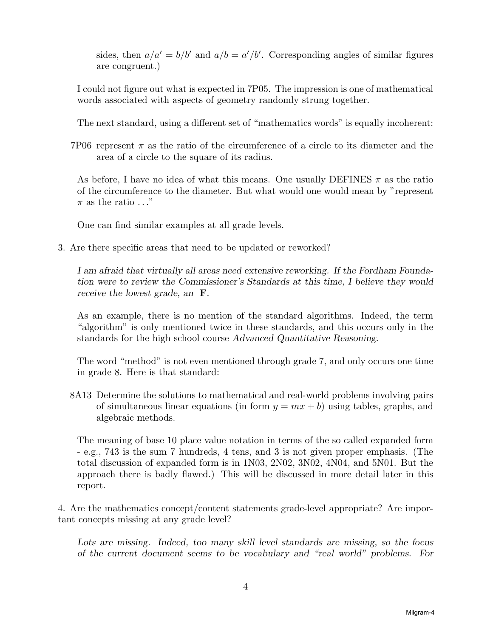sides, then  $a/a' = b/b'$  and  $a/b = a'/b'$ . Corresponding angles of similar figures are congruent.)

I could not figure out what is expected in 7P05. The impression is one of mathematical words associated with aspects of geometry randomly strung together.

The next standard, using a different set of "mathematics words" is equally incoherent:

7P06 represent  $\pi$  as the ratio of the circumference of a circle to its diameter and the area of a circle to the square of its radius.

As before, I have no idea of what this means. One usually DEFINES *π* as the ratio of the circumference to the diameter. But what would one would mean by "represent  $\pi$  as the ratio  $\ldots$ "

One can find similar examples at all grade levels.

3. Are there specific areas that need to be updated or reworked?

*I am afraid that virtually all areas need extensive reworking. If the Fordham Foundation were to review the Commissioner's Standards at this time, I believe they would receive the lowest grade, an* **F**.

As an example, there is no mention of the standard algorithms. Indeed, the term "algorithm" is only mentioned twice in these standards, and this occurs only in the standards for the high school course *Advanced Quantitative Reasoning*.

The word "method" is not even mentioned through grade 7, and only occurs one time in grade 8. Here is that standard:

8A13 Determine the solutions to mathematical and real-world problems involving pairs of simultaneous linear equations (in form  $y = mx + b$ ) using tables, graphs, and algebraic methods.

The meaning of base 10 place value notation in terms of the so called expanded form - e.g., 743 is the sum 7 hundreds, 4 tens, and 3 is not given proper emphasis. (The total discussion of expanded form is in 1N03, 2N02, 3N02, 4N04, and 5N01. But the approach there is badly flawed.) This will be discussed in more detail later in this report.

4. Are the mathematics concept/content statements grade-level appropriate? Are important concepts missing at any grade level?

*Lots are missing. Indeed, too many skill level standards are missing, so the focus of the current document seems to be vocabulary and "real world" problems. For*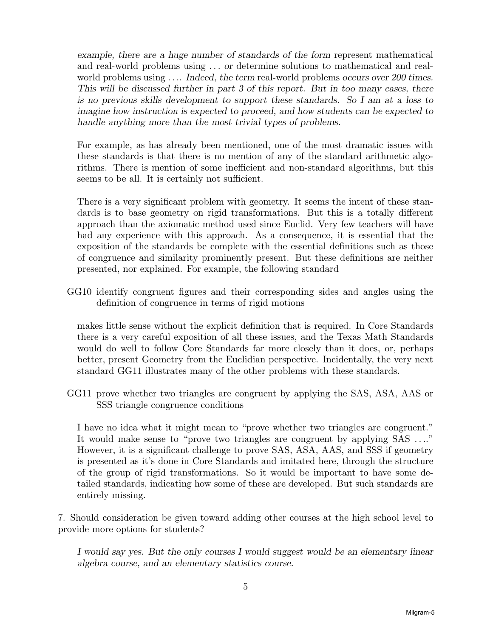*example, there are a huge number of standards of the form* represent mathematical and real-world problems using *. . . or* determine solutions to mathematical and realworld problems using *. . .. Indeed, the term* real-world problems *occurs over 200 times. This will be discussed further in part 3 of this report. But in too many cases, there is no previous skills development to support these standards. So I am at a loss to imagine how instruction is expected to proceed, and how students can be expected to handle anything more than the most trivial types of problems.*

For example, as has already been mentioned, one of the most dramatic issues with these standards is that there is no mention of any of the standard arithmetic algorithms. There is mention of some inefficient and non-standard algorithms, but this seems to be all. It is certainly not sufficient.

There is a very significant problem with geometry. It seems the intent of these standards is to base geometry on rigid transformations. But this is a totally different approach than the axiomatic method used since Euclid. Very few teachers will have had any experience with this approach. As a consequence, it is essential that the exposition of the standards be complete with the essential definitions such as those of congruence and similarity prominently present. But these definitions are neither presented, nor explained. For example, the following standard

GG10 identify congruent figures and their corresponding sides and angles using the definition of congruence in terms of rigid motions

makes little sense without the explicit definition that is required. In Core Standards there is a very careful exposition of all these issues, and the Texas Math Standards would do well to follow Core Standards far more closely than it does, or, perhaps better, present Geometry from the Euclidian perspective. Incidentally, the very next standard GG11 illustrates many of the other problems with these standards.

GG11 prove whether two triangles are congruent by applying the SAS, ASA, AAS or SSS triangle congruence conditions

I have no idea what it might mean to "prove whether two triangles are congruent." It would make sense to "prove two triangles are congruent by applying SAS *. . .*." However, it is a significant challenge to prove SAS, ASA, AAS, and SSS if geometry is presented as it's done in Core Standards and imitated here, through the structure of the group of rigid transformations. So it would be important to have some detailed standards, indicating how some of these are developed. But such standards are entirely missing.

7. Should consideration be given toward adding other courses at the high school level to provide more options for students?

*I would say yes. But the only courses I would suggest would be an elementary linear algebra course, and an elementary statistics course.*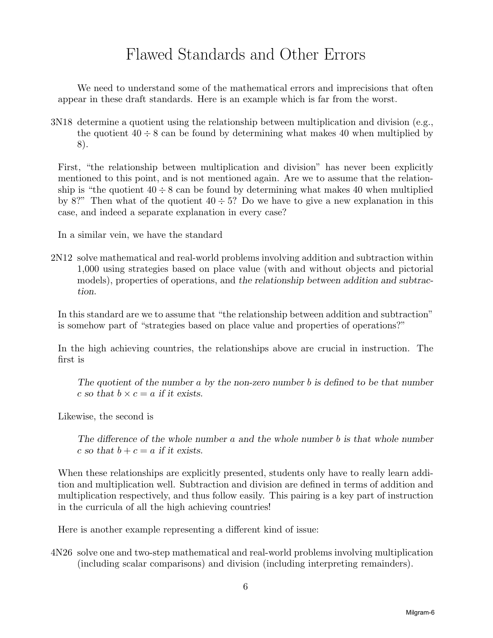### Flawed Standards and Other Errors

We need to understand some of the mathematical errors and imprecisions that often appear in these draft standards. Here is an example which is far from the worst.

3N18 determine a quotient using the relationship between multiplication and division (e.g., the quotient  $40 \div 8$  can be found by determining what makes 40 when multiplied by 8).

First, "the relationship between multiplication and division" has never been explicitly mentioned to this point, and is not mentioned again. Are we to assume that the relationship is "the quotient  $40 \div 8$  can be found by determining what makes 40 when multiplied by 8?" Then what of the quotient  $40 \div 5$ ? Do we have to give a new explanation in this case, and indeed a separate explanation in every case?

In a similar vein, we have the standard

2N12 solve mathematical and real-world problems involving addition and subtraction within 1,000 using strategies based on place value (with and without objects and pictorial models), properties of operations, and *the relationship between addition and subtraction.*

In this standard are we to assume that "the relationship between addition and subtraction" is somehow part of "strategies based on place value and properties of operations?"

In the high achieving countries, the relationships above are crucial in instruction. The first is

*The quotient of the number a by the non-zero number b is defined to be that number c* so that  $b \times c = a$  if it exists.

Likewise, the second is

*The difference of the whole number a and the whole number b is that whole number*  $c$  *so that*  $b + c = a$  *if it exists.* 

When these relationships are explicitly presented, students only have to really learn addition and multiplication well. Subtraction and division are defined in terms of addition and multiplication respectively, and thus follow easily. This pairing is a key part of instruction in the curricula of all the high achieving countries!

Here is another example representing a different kind of issue:

4N26 solve one and two-step mathematical and real-world problems involving multiplication (including scalar comparisons) and division (including interpreting remainders).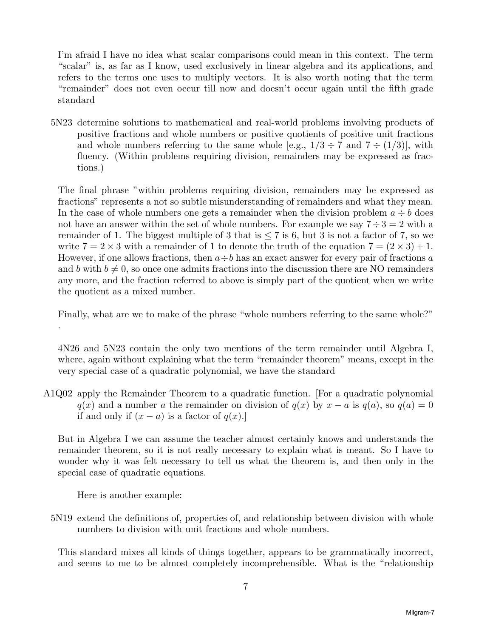I'm afraid I have no idea what scalar comparisons could mean in this context. The term "scalar" is, as far as I know, used exclusively in linear algebra and its applications, and refers to the terms one uses to multiply vectors. It is also worth noting that the term "remainder" does not even occur till now and doesn't occur again until the fifth grade standard

5N23 determine solutions to mathematical and real-world problems involving products of positive fractions and whole numbers or positive quotients of positive unit fractions and whole numbers referring to the same whole [e.g.,  $1/3 \div 7$  and  $7 \div (1/3)$ ], with fluency. (Within problems requiring division, remainders may be expressed as fractions.)

The final phrase "within problems requiring division, remainders may be expressed as fractions" represents a not so subtle misunderstanding of remainders and what they mean. In the case of whole numbers one gets a remainder when the division problem  $a \div b$  does not have an answer within the set of whole numbers. For example we say  $7 \div 3 = 2$  with a remainder of 1. The biggest multiple of 3 that is  $\leq 7$  is 6, but 3 is not a factor of 7, so we write  $7 = 2 \times 3$  with a remainder of 1 to denote the truth of the equation  $7 = (2 \times 3) + 1$ . However, if one allows fractions, then  $a \div b$  has an exact answer for every pair of fractions *a* and *b* with  $b \neq 0$ , so once one admits fractions into the discussion there are NO remainders any more, and the fraction referred to above is simply part of the quotient when we write the quotient as a mixed number.

Finally, what are we to make of the phrase "whole numbers referring to the same whole?" .

4N26 and 5N23 contain the only two mentions of the term remainder until Algebra I, where, again without explaining what the term "remainder theorem" means, except in the very special case of a quadratic polynomial, we have the standard

A1Q02 apply the Remainder Theorem to a quadratic function. [For a quadratic polynomial  $q(x)$  and a number *a* the remainder on division of  $q(x)$  by  $x - a$  is  $q(a)$ , so  $q(a) = 0$ if and only if  $(x - a)$  is a factor of  $q(x)$ .

But in Algebra I we can assume the teacher almost certainly knows and understands the remainder theorem, so it is not really necessary to explain what is meant. So I have to wonder why it was felt necessary to tell us what the theorem is, and then only in the special case of quadratic equations.

Here is another example:

5N19 extend the definitions of, properties of, and relationship between division with whole numbers to division with unit fractions and whole numbers.

This standard mixes all kinds of things together, appears to be grammatically incorrect, and seems to me to be almost completely incomprehensible. What is the "relationship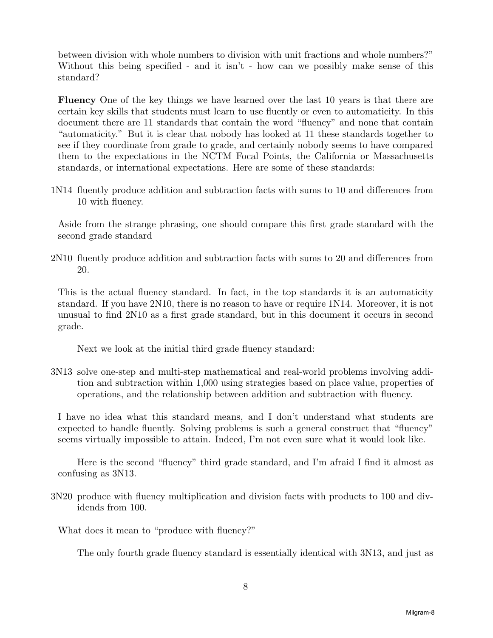between division with whole numbers to division with unit fractions and whole numbers?" Without this being specified - and it isn't - how can we possibly make sense of this standard?

**Fluency** One of the key things we have learned over the last 10 years is that there are certain key skills that students must learn to use fluently or even to automaticity. In this document there are 11 standards that contain the word "fluency" and none that contain "automaticity." But it is clear that nobody has looked at 11 these standards together to see if they coordinate from grade to grade, and certainly nobody seems to have compared them to the expectations in the NCTM Focal Points, the California or Massachusetts standards, or international expectations. Here are some of these standards:

1N14 fluently produce addition and subtraction facts with sums to 10 and differences from 10 with fluency.

Aside from the strange phrasing, one should compare this first grade standard with the second grade standard

2N10 fluently produce addition and subtraction facts with sums to 20 and differences from 20.

This is the actual fluency standard. In fact, in the top standards it is an automaticity standard. If you have 2N10, there is no reason to have or require 1N14. Moreover, it is not unusual to find 2N10 as a first grade standard, but in this document it occurs in second grade.

Next we look at the initial third grade fluency standard:

3N13 solve one-step and multi-step mathematical and real-world problems involving addition and subtraction within 1,000 using strategies based on place value, properties of operations, and the relationship between addition and subtraction with fluency.

I have no idea what this standard means, and I don't understand what students are expected to handle fluently. Solving problems is such a general construct that "fluency" seems virtually impossible to attain. Indeed, I'm not even sure what it would look like.

Here is the second "fluency" third grade standard, and I'm afraid I find it almost as confusing as 3N13.

3N20 produce with fluency multiplication and division facts with products to 100 and dividends from 100.

What does it mean to "produce with fluency?"

The only fourth grade fluency standard is essentially identical with 3N13, and just as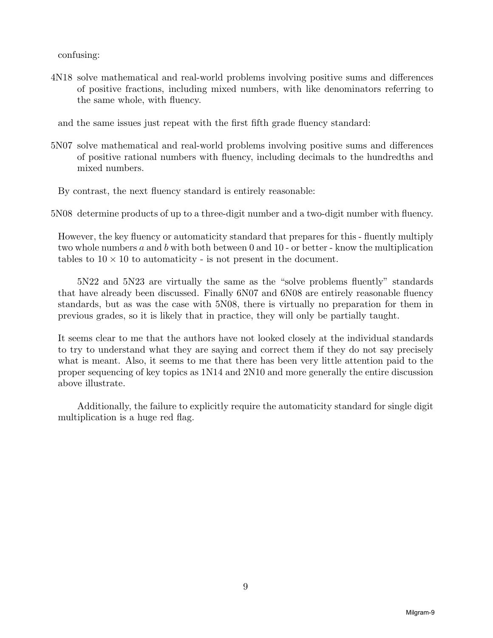confusing:

- 4N18 solve mathematical and real-world problems involving positive sums and differences of positive fractions, including mixed numbers, with like denominators referring to the same whole, with fluency.
	- and the same issues just repeat with the first fifth grade fluency standard:
- 5N07 solve mathematical and real-world problems involving positive sums and differences of positive rational numbers with fluency, including decimals to the hundredths and mixed numbers.

By contrast, the next fluency standard is entirely reasonable:

5N08 determine products of up to a three-digit number and a two-digit number with fluency.

However, the key fluency or automaticity standard that prepares for this - fluently multiply two whole numbers *a* and *b* with both between 0 and 10 - or better - know the multiplication tables to  $10 \times 10$  to automaticity - is not present in the document.

5N22 and 5N23 are virtually the same as the "solve problems fluently" standards that have already been discussed. Finally 6N07 and 6N08 are entirely reasonable fluency standards, but as was the case with 5N08, there is virtually no preparation for them in previous grades, so it is likely that in practice, they will only be partially taught.

It seems clear to me that the authors have not looked closely at the individual standards to try to understand what they are saying and correct them if they do not say precisely what is meant. Also, it seems to me that there has been very little attention paid to the proper sequencing of key topics as 1N14 and 2N10 and more generally the entire discussion above illustrate.

Additionally, the failure to explicitly require the automaticity standard for single digit multiplication is a huge red flag.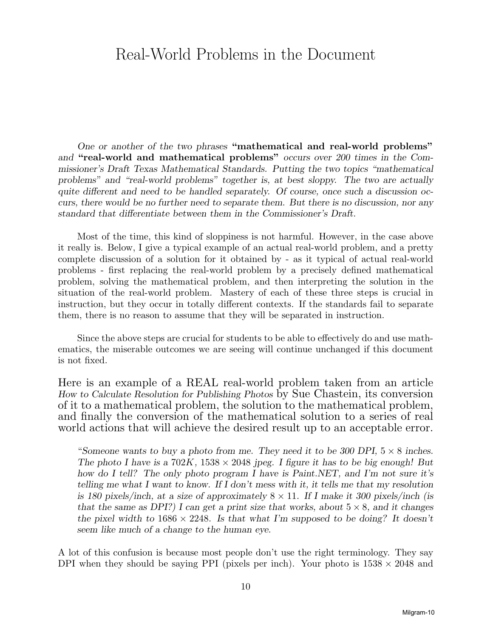### Real-World Problems in the Document

*One or another of the two phrases* **"mathematical and real-world problems"** *and* **"real-world and mathematical problems"** *occurs over 200 times in the Commissioner's Draft Texas Mathematical Standards. Putting the two topics "mathematical problems" and "real-world problems" together is, at best sloppy. The two are actually quite different and need to be handled separately. Of course, once such a discussion occurs, there would be no further need to separate them. But there is no discussion, nor any standard that differentiate between them in the Commissioner's Draft.*

Most of the time, this kind of sloppiness is not harmful. However, in the case above it really is. Below, I give a typical example of an actual real-world problem, and a pretty complete discussion of a solution for it obtained by - as it typical of actual real-world problems - first replacing the real-world problem by a precisely defined mathematical problem, solving the mathematical problem, and then interpreting the solution in the situation of the real-world problem. Mastery of each of these three steps is crucial in instruction, but they occur in totally different contexts. If the standards fail to separate them, there is no reason to assume that they will be separated in instruction.

Since the above steps are crucial for students to be able to effectively do and use mathematics, the miserable outcomes we are seeing will continue unchanged if this document is not fixed.

Here is an example of a REAL real-world problem taken from an article *How to Calculate Resolution for Publishing Photos* by Sue Chastein, its conversion of it to a mathematical problem, the solution to the mathematical problem, and finally the conversion of the mathematical solution to a series of real world actions that will achieve the desired result up to an acceptable error.

"*Someone wants to buy a photo from me. They need it to be 300 DPI,* 5 *×* 8 *inches. The photo I have is a*  $702K$ ,  $1538 \times 2048$  *jpeg. I figure it has to be big enough! But how do I tell? The only photo program I have is Paint.NET, and I'm not sure it's telling me what I want to know. If I don't mess with it, it tells me that my resolution is 180 pixels/inch, at a size of approximately* 8 *×* 11*. If I make it 300 pixels/inch (is that the same as DPI?) I can get a print size that works, about* 5 *×* 8*, and it changes the pixel width to*  $1686 \times 2248$ *. Is that what I'm supposed to be doing? It doesn't seem like much of a change to the human eye.*

A lot of this confusion is because most people don't use the right terminology. They say DPI when they should be saying PPI (pixels per inch). Your photo is  $1538 \times 2048$  and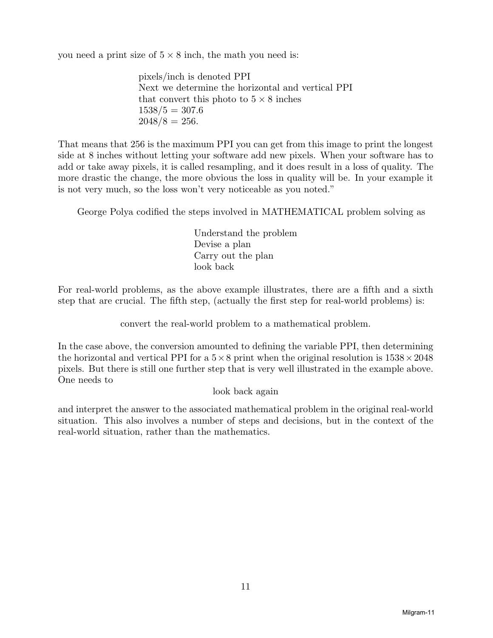you need a print size of  $5 \times 8$  inch, the math you need is:

pixels/inch is denoted PPI Next we determine the horizontal and vertical PPI that convert this photo to  $5 \times 8$  inches  $1538/5 = 307.6$  $2048/8 = 256$ .

That means that 256 is the maximum PPI you can get from this image to print the longest side at 8 inches without letting your software add new pixels. When your software has to add or take away pixels, it is called resampling, and it does result in a loss of quality. The more drastic the change, the more obvious the loss in quality will be. In your example it is not very much, so the loss won't very noticeable as you noted."

George Polya codified the steps involved in MATHEMATICAL problem solving as

Understand the problem Devise a plan Carry out the plan look back

For real-world problems, as the above example illustrates, there are a fifth and a sixth step that are crucial. The fifth step, (actually the first step for real-world problems) is:

convert the real-world problem to a mathematical problem.

In the case above, the conversion amounted to defining the variable PPI, then determining the horizontal and vertical PPI for a  $5\times 8$  print when the original resolution is  $1538\times 2048$ pixels. But there is still one further step that is very well illustrated in the example above. One needs to

look back again

and interpret the answer to the associated mathematical problem in the original real-world situation. This also involves a number of steps and decisions, but in the context of the real-world situation, rather than the mathematics.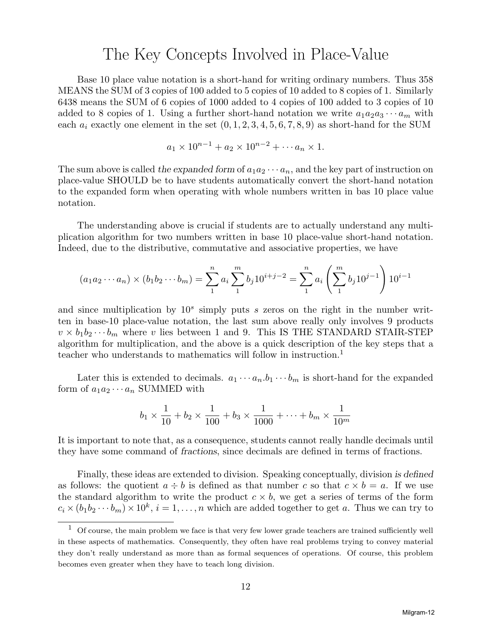#### The Key Concepts Involved in Place-Value

Base 10 place value notation is a short-hand for writing ordinary numbers. Thus 358 MEANS the SUM of 3 copies of 100 added to 5 copies of 10 added to 8 copies of 1. Similarly 6438 means the SUM of 6 copies of 1000 added to 4 copies of 100 added to 3 copies of 10 added to 8 copies of 1. Using a further short-hand notation we write  $a_1a_2a_3\cdots a_m$  with each  $a_i$  exactly one element in the set  $(0, 1, 2, 3, 4, 5, 6, 7, 8, 9)$  as short-hand for the SUM

$$
a_1 \times 10^{n-1} + a_2 \times 10^{n-2} + \cdots a_n \times 1.
$$

The sum above is called the expanded form of  $a_1a_2\cdots a_n$ , and the key part of instruction on place-value SHOULD be to have students automatically convert the short-hand notation to the expanded form when operating with whole numbers written in bas 10 place value notation.

The understanding above is crucial if students are to actually understand any multiplication algorithm for two numbers written in base 10 place-value short-hand notation. Indeed, due to the distributive, commutative and associative properties, we have

$$
(a_1 a_2 \cdots a_n) \times (b_1 b_2 \cdots b_m) = \sum_{1}^{n} a_i \sum_{1}^{m} b_j 10^{i+j-2} = \sum_{1}^{n} a_i \left(\sum_{1}^{m} b_j 10^{j-1}\right) 10^{i-1}
$$

and since multiplication by  $10<sup>s</sup>$  simply puts *s* zeros on the right in the number written in base-10 place-value notation, the last sum above really only involves 9 products  $v \times b_1 b_2 \cdots b_m$  where *v* lies between 1 and 9. This IS THE STANDARD STAIR-STEP algorithm for multiplication, and the above is a quick description of the key steps that a teacher who understands to mathematics will follow in instruction.<sup>1</sup>

Later this is extended to decimals.  $a_1 \cdots a_n \cdot b_1 \cdots b_m$  is short-hand for the expanded form of  $a_1 a_2 \cdots a_n$  SUMMED with

$$
b_1 \times \frac{1}{10} + b_2 \times \frac{1}{100} + b_3 \times \frac{1}{1000} + \dots + b_m \times \frac{1}{10^m}
$$

It is important to note that, as a consequence, students cannot really handle decimals until they have some command of *fractions*, since decimals are defined in terms of fractions.

Finally, these ideas are extended to division. Speaking conceptually, division *is defined* as follows: the quotient  $a \div b$  is defined as that number *c* so that  $c \times b = a$ . If we use the standard algorithm to write the product  $c \times b$ , we get a series of terms of the form  $c_i \times (b_1 b_2 \cdots b_m) \times 10^k$ ,  $i = 1, \ldots, n$  which are added together to get *a*. Thus we can try to

 $1$  Of course, the main problem we face is that very few lower grade teachers are trained sufficiently well in these aspects of mathematics. Consequently, they often have real problems trying to convey material they don't really understand as more than as formal sequences of operations. Of course, this problem becomes even greater when they have to teach long division.